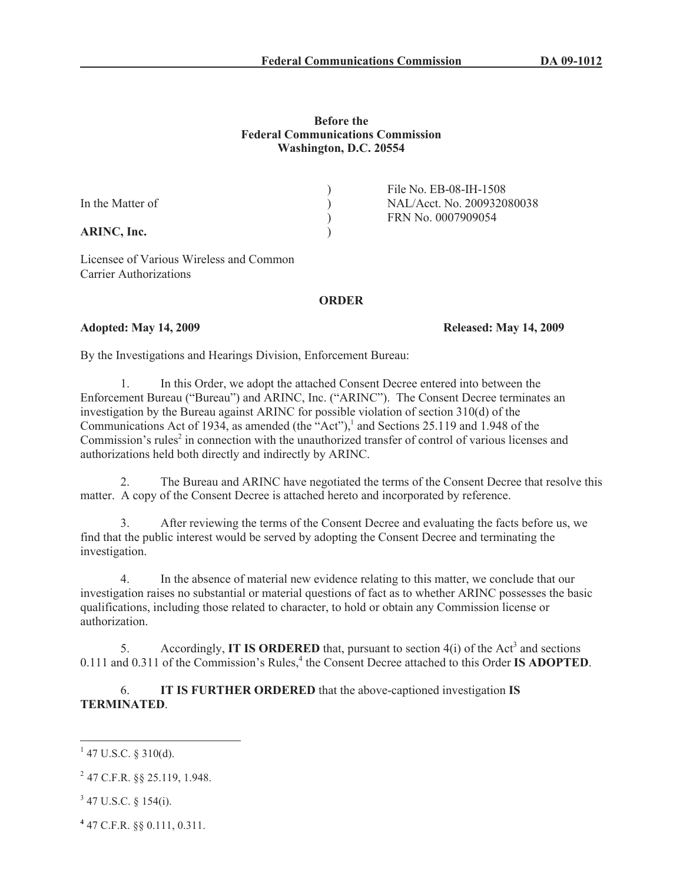#### **Before the Federal Communications Commission Washington, D.C. 20554**

|                  | File No. EB-08-IH-1508     |
|------------------|----------------------------|
| In the Matter of | NAL/Acct. No. 200932080038 |
|                  | FRN No. 0007909054         |
| ARINC, Inc.      |                            |

Licensee of Various Wireless and Common Carrier Authorizations

### **ORDER**

## **Adopted: May 14, 2009 Released: May 14, 2009**

By the Investigations and Hearings Division, Enforcement Bureau:

1. In this Order, we adopt the attached Consent Decree entered into between the Enforcement Bureau ("Bureau") and ARINC, Inc. ("ARINC"). The Consent Decree terminates an investigation by the Bureau against ARINC for possible violation of section 310(d) of the Communications Act of 1934, as amended (the "Act"),<sup>1</sup> and Sections 25.119 and 1.948 of the Commission's rules<sup>2</sup> in connection with the unauthorized transfer of control of various licenses and authorizations held both directly and indirectly by ARINC.

2. The Bureau and ARINC have negotiated the terms of the Consent Decree that resolve this matter. A copy of the Consent Decree is attached hereto and incorporated by reference.

3. After reviewing the terms of the Consent Decree and evaluating the facts before us, we find that the public interest would be served by adopting the Consent Decree and terminating the investigation.

4. In the absence of material new evidence relating to this matter, we conclude that our investigation raises no substantial or material questions of fact as to whether ARINC possesses the basic qualifications, including those related to character, to hold or obtain any Commission license or authorization.

5. Accordingly, **IT IS ORDERED** that, pursuant to section  $4(i)$  of the Act<sup>3</sup> and sections 0.111 and 0.311 of the Commission's Rules,<sup>4</sup> the Consent Decree attached to this Order **IS ADOPTED**.

6. **IT IS FURTHER ORDERED** that the above-captioned investigation **IS TERMINATED**.

 $1$  47 U.S.C. § 310(d).

 $^{2}$  47 C.F.R. §§ 25.119, 1.948.

 $3$  47 U.S.C. § 154(i).

**<sup>4</sup>** 47 C.F.R. §§ 0.111, 0.311.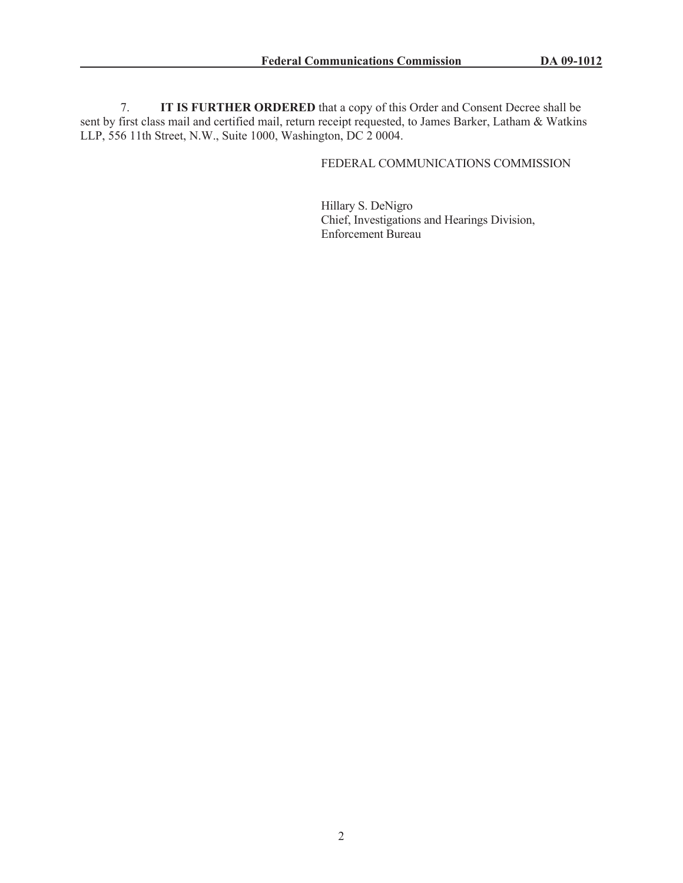7. **IT IS FURTHER ORDERED** that a copy of this Order and Consent Decree shall be sent by first class mail and certified mail, return receipt requested, to James Barker, Latham & Watkins LLP, 556 11th Street, N.W., Suite 1000, Washington, DC 2 0004.

# FEDERAL COMMUNICATIONS COMMISSION

Hillary S. DeNigro Chief, Investigations and Hearings Division, Enforcement Bureau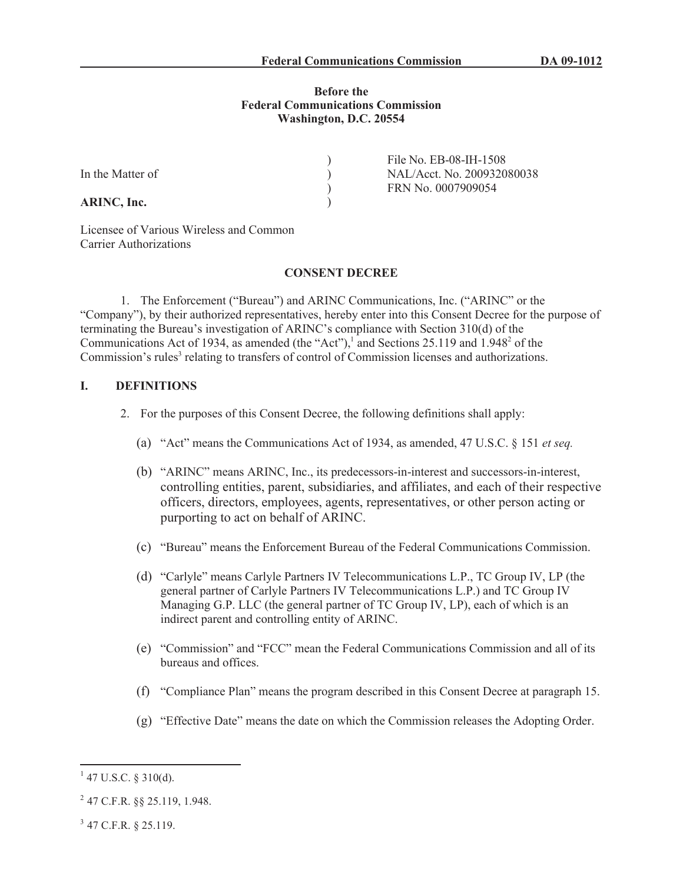### **Before the Federal Communications Commission Washington, D.C. 20554**

)  $\left( \right)$  $\mathcal{L}$ )

**ARINC, Inc.**

File No. EB-08-IH-1508 NAL/Acct. No. 200932080038 FRN No. 0007909054

Licensee of Various Wireless and Common Carrier Authorizations

#### **CONSENT DECREE**

1. The Enforcement ("Bureau") and ARINC Communications, Inc. ("ARINC" or the "Company"), by their authorized representatives, hereby enter into this Consent Decree for the purpose of terminating the Bureau's investigation of ARINC's compliance with Section 310(d) of the Communications Act of 1934, as amended (the "Act"),<sup>1</sup> and Sections 25.119 and 1.948<sup>2</sup> of the Commission's rules<sup>3</sup> relating to transfers of control of Commission licenses and authorizations.

## **I. DEFINITIONS**

- 2. For the purposes of this Consent Decree, the following definitions shall apply:
	- (a) "Act" means the Communications Act of 1934, as amended, 47 U.S.C. § 151 *et seq.*
	- (b) "ARINC" means ARINC, Inc., its predecessors-in-interest and successors-in-interest, controlling entities, parent, subsidiaries, and affiliates, and each of their respective officers, directors, employees, agents, representatives, or other person acting or purporting to act on behalf of ARINC.
	- (c) "Bureau" means the Enforcement Bureau of the Federal Communications Commission.
	- (d) "Carlyle" means Carlyle Partners IV Telecommunications L.P., TC Group IV, LP (the general partner of Carlyle Partners IV Telecommunications L.P.) and TC Group IV Managing G.P. LLC (the general partner of TC Group IV, LP), each of which is an indirect parent and controlling entity of ARINC.
	- (e) "Commission" and "FCC" mean the Federal Communications Commission and all of its bureaus and offices.
	- (f) "Compliance Plan" means the program described in this Consent Decree at paragraph 15.
	- (g) "Effective Date" means the date on which the Commission releases the Adopting Order.

 $1$  47 U.S.C. § 310(d).

 $^{2}$  47 C.F.R. §§ 25.119, 1.948.

 $3$  47 C.F.R. § 25.119.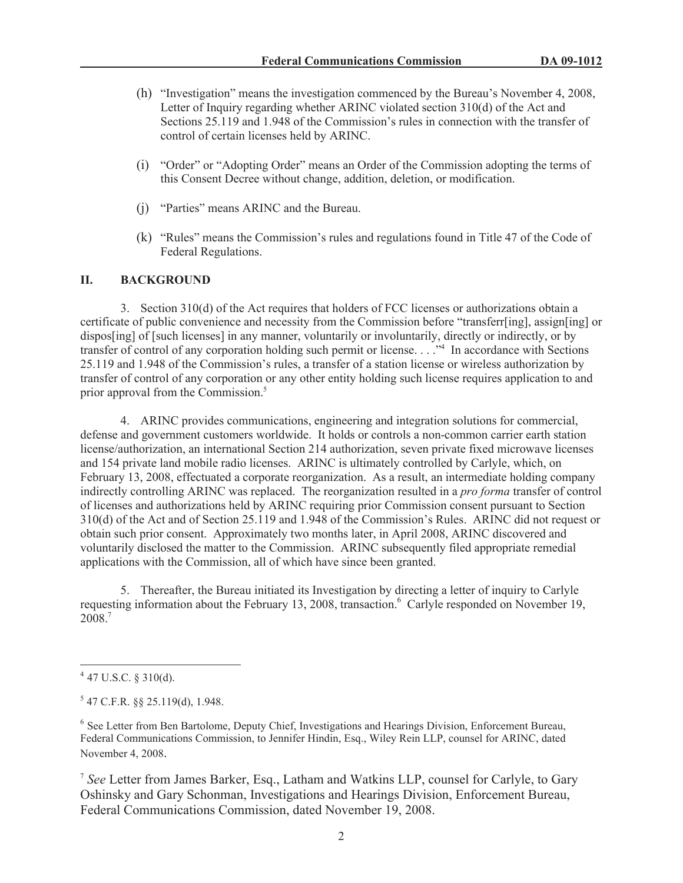- (h) "Investigation" means the investigation commenced by the Bureau's November 4, 2008, Letter of Inquiry regarding whether ARINC violated section 310(d) of the Act and Sections 25.119 and 1.948 of the Commission's rules in connection with the transfer of control of certain licenses held by ARINC.
- (i) "Order" or "Adopting Order" means an Order of the Commission adopting the terms of this Consent Decree without change, addition, deletion, or modification.
- (j) "Parties" means ARINC and the Bureau.
- (k) "Rules" means the Commission's rules and regulations found in Title 47 of the Code of Federal Regulations.

#### **II. BACKGROUND**

3. Section 310(d) of the Act requires that holders of FCC licenses or authorizations obtain a certificate of public convenience and necessity from the Commission before "transferr[ing], assign[ing] or dispos[ing] of [such licenses] in any manner, voluntarily or involuntarily, directly or indirectly, or by transfer of control of any corporation holding such permit or license. . . ."<sup>4</sup> In accordance with Sections 25.119 and 1.948 of the Commission's rules, a transfer of a station license or wireless authorization by transfer of control of any corporation or any other entity holding such license requires application to and prior approval from the Commission.<sup>5</sup>

4. ARINC provides communications, engineering and integration solutions for commercial, defense and government customers worldwide. It holds or controls a non-common carrier earth station license/authorization, an international Section 214 authorization, seven private fixed microwave licenses and 154 private land mobile radio licenses. ARINC is ultimately controlled by Carlyle, which, on February 13, 2008, effectuated a corporate reorganization. As a result, an intermediate holding company indirectly controlling ARINC was replaced. The reorganization resulted in a *pro forma* transfer of control of licenses and authorizations held by ARINC requiring prior Commission consent pursuant to Section 310(d) of the Act and of Section 25.119 and 1.948 of the Commission's Rules. ARINC did not request or obtain such prior consent. Approximately two months later, in April 2008, ARINC discovered and voluntarily disclosed the matter to the Commission. ARINC subsequently filed appropriate remedial applications with the Commission, all of which have since been granted.

5. Thereafter, the Bureau initiated its Investigation by directing a letter of inquiry to Carlyle requesting information about the February 13, 2008, transaction.<sup>6</sup> Carlyle responded on November 19, 2008.<sup>7</sup>

 $4$  47 U.S.C. § 310(d).

 $5$  47 C.F.R. §§ 25.119(d), 1.948.

<sup>&</sup>lt;sup>6</sup> See Letter from Ben Bartolome, Deputy Chief, Investigations and Hearings Division, Enforcement Bureau, Federal Communications Commission, to Jennifer Hindin, Esq., Wiley Rein LLP, counsel for ARINC, dated November 4, 2008.

<sup>7</sup> *See* Letter from James Barker, Esq., Latham and Watkins LLP, counsel for Carlyle, to Gary Oshinsky and Gary Schonman, Investigations and Hearings Division, Enforcement Bureau, Federal Communications Commission, dated November 19, 2008.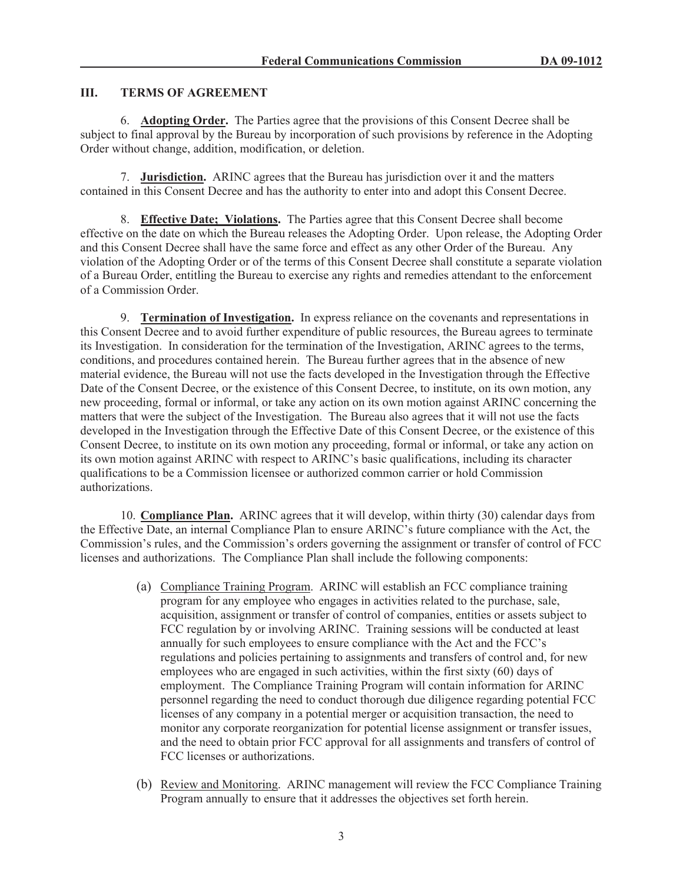### **III. TERMS OF AGREEMENT**

6. **Adopting Order.** The Parties agree that the provisions of this Consent Decree shall be subject to final approval by the Bureau by incorporation of such provisions by reference in the Adopting Order without change, addition, modification, or deletion.

7. **Jurisdiction.** ARINC agrees that the Bureau has jurisdiction over it and the matters contained in this Consent Decree and has the authority to enter into and adopt this Consent Decree.

8. **Effective Date; Violations.** The Parties agree that this Consent Decree shall become effective on the date on which the Bureau releases the Adopting Order. Upon release, the Adopting Order and this Consent Decree shall have the same force and effect as any other Order of the Bureau. Any violation of the Adopting Order or of the terms of this Consent Decree shall constitute a separate violation of a Bureau Order, entitling the Bureau to exercise any rights and remedies attendant to the enforcement of a Commission Order.

9. **Termination of Investigation.** In express reliance on the covenants and representations in this Consent Decree and to avoid further expenditure of public resources, the Bureau agrees to terminate its Investigation. In consideration for the termination of the Investigation, ARINC agrees to the terms, conditions, and procedures contained herein. The Bureau further agrees that in the absence of new material evidence, the Bureau will not use the facts developed in the Investigation through the Effective Date of the Consent Decree, or the existence of this Consent Decree, to institute, on its own motion, any new proceeding, formal or informal, or take any action on its own motion against ARINC concerning the matters that were the subject of the Investigation. The Bureau also agrees that it will not use the facts developed in the Investigation through the Effective Date of this Consent Decree, or the existence of this Consent Decree, to institute on its own motion any proceeding, formal or informal, or take any action on its own motion against ARINC with respect to ARINC's basic qualifications, including its character qualifications to be a Commission licensee or authorized common carrier or hold Commission authorizations.

10. **Compliance Plan.** ARINC agrees that it will develop, within thirty (30) calendar days from the Effective Date, an internal Compliance Plan to ensure ARINC's future compliance with the Act, the Commission's rules, and the Commission's orders governing the assignment or transfer of control of FCC licenses and authorizations. The Compliance Plan shall include the following components:

- (a) Compliance Training Program. ARINC will establish an FCC compliance training program for any employee who engages in activities related to the purchase, sale, acquisition, assignment or transfer of control of companies, entities or assets subject to FCC regulation by or involving ARINC. Training sessions will be conducted at least annually for such employees to ensure compliance with the Act and the FCC's regulations and policies pertaining to assignments and transfers of control and, for new employees who are engaged in such activities, within the first sixty (60) days of employment. The Compliance Training Program will contain information for ARINC personnel regarding the need to conduct thorough due diligence regarding potential FCC licenses of any company in a potential merger or acquisition transaction, the need to monitor any corporate reorganization for potential license assignment or transfer issues, and the need to obtain prior FCC approval for all assignments and transfers of control of FCC licenses or authorizations.
- (b) Review and Monitoring. ARINC management will review the FCC Compliance Training Program annually to ensure that it addresses the objectives set forth herein.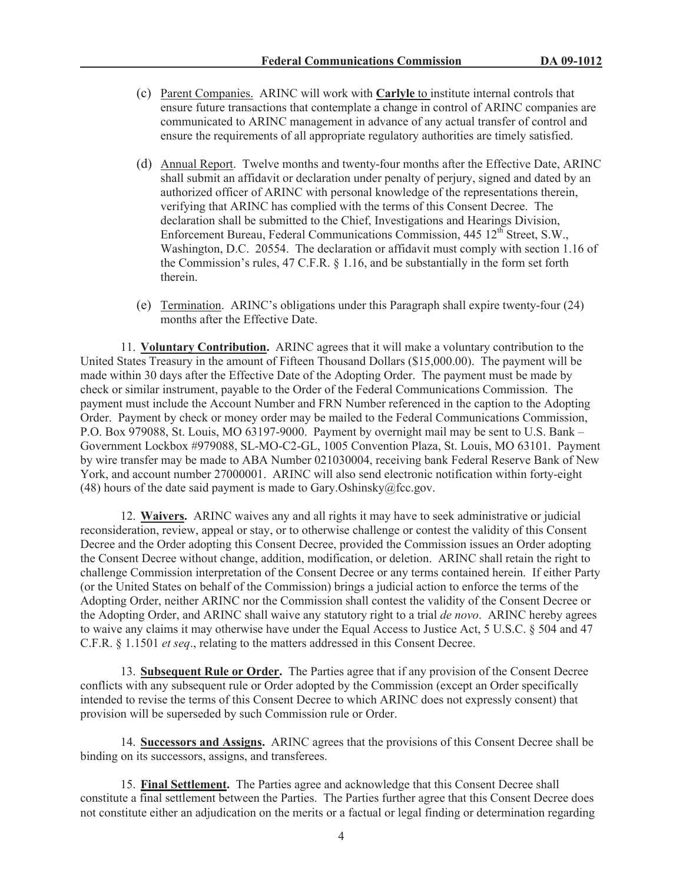- (c) Parent Companies. ARINC will work with **Carlyle** to institute internal controls that ensure future transactions that contemplate a change in control of ARINC companies are communicated to ARINC management in advance of any actual transfer of control and ensure the requirements of all appropriate regulatory authorities are timely satisfied.
- (d) Annual Report. Twelve months and twenty-four months after the Effective Date, ARINC shall submit an affidavit or declaration under penalty of perjury, signed and dated by an authorized officer of ARINC with personal knowledge of the representations therein, verifying that ARINC has complied with the terms of this Consent Decree. The declaration shall be submitted to the Chief, Investigations and Hearings Division, Enforcement Bureau, Federal Communications Commission, 445 12<sup>th</sup> Street, S.W., Washington, D.C. 20554. The declaration or affidavit must comply with section 1.16 of the Commission's rules, 47 C.F.R. § 1.16, and be substantially in the form set forth therein.
- (e) Termination. ARINC's obligations under this Paragraph shall expire twenty-four (24) months after the Effective Date.

11. **Voluntary Contribution.** ARINC agrees that it will make a voluntary contribution to the United States Treasury in the amount of Fifteen Thousand Dollars (\$15,000.00). The payment will be made within 30 days after the Effective Date of the Adopting Order. The payment must be made by check or similar instrument, payable to the Order of the Federal Communications Commission. The payment must include the Account Number and FRN Number referenced in the caption to the Adopting Order. Payment by check or money order may be mailed to the Federal Communications Commission, P.O. Box 979088, St. Louis, MO 63197-9000. Payment by overnight mail may be sent to U.S. Bank – Government Lockbox #979088, SL-MO-C2-GL, 1005 Convention Plaza, St. Louis, MO 63101. Payment by wire transfer may be made to ABA Number 021030004, receiving bank Federal Reserve Bank of New York, and account number 27000001. ARINC will also send electronic notification within forty-eight (48) hours of the date said payment is made to Gary.Oshinsky $@$ fcc.gov.

12. **Waivers.** ARINC waives any and all rights it may have to seek administrative or judicial reconsideration, review, appeal or stay, or to otherwise challenge or contest the validity of this Consent Decree and the Order adopting this Consent Decree, provided the Commission issues an Order adopting the Consent Decree without change, addition, modification, or deletion. ARINC shall retain the right to challenge Commission interpretation of the Consent Decree or any terms contained herein. If either Party (or the United States on behalf of the Commission) brings a judicial action to enforce the terms of the Adopting Order, neither ARINC nor the Commission shall contest the validity of the Consent Decree or the Adopting Order, and ARINC shall waive any statutory right to a trial *de novo*. ARINC hereby agrees to waive any claims it may otherwise have under the Equal Access to Justice Act, 5 U.S.C. § 504 and 47 C.F.R. § 1.1501 *et seq*., relating to the matters addressed in this Consent Decree.

13. **Subsequent Rule or Order.** The Parties agree that if any provision of the Consent Decree conflicts with any subsequent rule or Order adopted by the Commission (except an Order specifically intended to revise the terms of this Consent Decree to which ARINC does not expressly consent) that provision will be superseded by such Commission rule or Order.

14. **Successors and Assigns.** ARINC agrees that the provisions of this Consent Decree shall be binding on its successors, assigns, and transferees.

15. **Final Settlement.** The Parties agree and acknowledge that this Consent Decree shall constitute a final settlement between the Parties. The Parties further agree that this Consent Decree does not constitute either an adjudication on the merits or a factual or legal finding or determination regarding